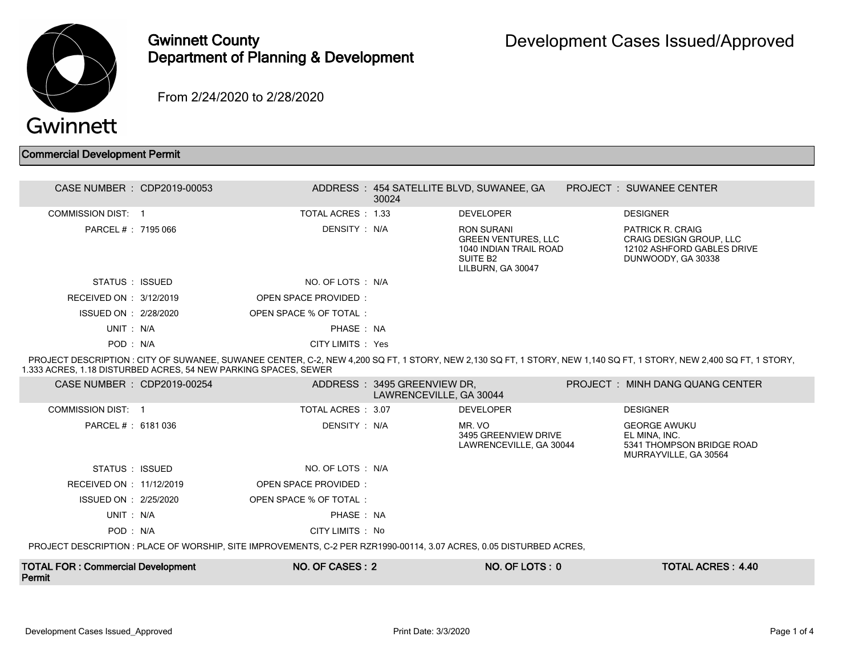

## Gwinnett County Department of Planning & Development

From 2/24/2020 to 2/28/2020

## Commercial Development Permit

| CASE NUMBER : CDP2019-00053 |                        | 30024 | ADDRESS: 454 SATELLITE BLVD, SUWANEE, GA                                                                        | <b>PROJECT : SUWANEE CENTER</b>                                                                        |  |
|-----------------------------|------------------------|-------|-----------------------------------------------------------------------------------------------------------------|--------------------------------------------------------------------------------------------------------|--|
| COMMISSION DIST: 1          | TOTAL ACRES : 1.33     |       | <b>DEVELOPER</b>                                                                                                | <b>DESIGNER</b>                                                                                        |  |
| PARCEL #: 7195 066          | DENSITY : N/A          |       | RON SURANI<br><b>GREEN VENTURES, LLC</b><br>1040 INDIAN TRAIL ROAD<br>SUITE B <sub>2</sub><br>LILBURN, GA 30047 | PATRICK R. CRAIG<br><b>CRAIG DESIGN GROUP, LLC</b><br>12102 ASHFORD GABLES DRIVE<br>DUNWOODY, GA 30338 |  |
| STATUS : ISSUED             | NO. OF LOTS : N/A      |       |                                                                                                                 |                                                                                                        |  |
| RECEIVED ON : $3/12/2019$   | OPEN SPACE PROVIDED:   |       |                                                                                                                 |                                                                                                        |  |
| ISSUED ON : 2/28/2020       | OPEN SPACE % OF TOTAL: |       |                                                                                                                 |                                                                                                        |  |
| UNIT : N/A                  | PHASE: NA              |       |                                                                                                                 |                                                                                                        |  |
| POD: N/A                    | CITY LIMITS : Yes      |       |                                                                                                                 |                                                                                                        |  |

 PROJECT DESCRIPTION : CITY OF SUWANEE, SUWANEE CENTER, C-2, NEW 4,200 SQ FT, 1 STORY, NEW 2,130 SQ FT, 1 STORY, NEW 1,140 SQ FT, 1 STORY, NEW 2,400 SQ FT, 1 STORY, 1.333 ACRES, 1.18 DISTURBED ACRES, 54 NEW PARKING SPACES, SEWER

| CASE NUMBER : CDP2019-00254                                                                                        |  |                        | ADDRESS : 3495 GREENVIEW DR.<br>LAWRENCEVILLE, GA 30044 |                                                           |  | PROJECT : MINH DANG QUANG CENTER                                                           |  |
|--------------------------------------------------------------------------------------------------------------------|--|------------------------|---------------------------------------------------------|-----------------------------------------------------------|--|--------------------------------------------------------------------------------------------|--|
| <b>COMMISSION DIST: 1</b>                                                                                          |  | TOTAL ACRES : 3.07     |                                                         | <b>DEVELOPER</b>                                          |  | <b>DESIGNER</b>                                                                            |  |
| PARCEL # : 6181 036                                                                                                |  | DENSITY : N/A          |                                                         | MR. VO<br>3495 GREENVIEW DRIVE<br>LAWRENCEVILLE, GA 30044 |  | <b>GEORGE AWUKU</b><br>EL MINA, INC.<br>5341 THOMPSON BRIDGE ROAD<br>MURRAYVILLE, GA 30564 |  |
| STATUS : ISSUED                                                                                                    |  | NO. OF LOTS : N/A      |                                                         |                                                           |  |                                                                                            |  |
| RECEIVED ON : 11/12/2019                                                                                           |  | OPEN SPACE PROVIDED:   |                                                         |                                                           |  |                                                                                            |  |
| ISSUED ON : 2/25/2020                                                                                              |  | OPEN SPACE % OF TOTAL: |                                                         |                                                           |  |                                                                                            |  |
| UNIT : N/A                                                                                                         |  | PHASE: NA              |                                                         |                                                           |  |                                                                                            |  |
| POD: N/A                                                                                                           |  | CITY LIMITS : No       |                                                         |                                                           |  |                                                                                            |  |
| PROJECT DESCRIPTION: PLACE OF WORSHIP, SITE IMPROVEMENTS, C-2 PER RZR1990-00114, 3.07 ACRES, 0.05 DISTURBED ACRES, |  |                        |                                                         |                                                           |  |                                                                                            |  |
| <b>TOTAL FOR: Commercial Development</b><br>Permit                                                                 |  | NO. OF CASES: 2        |                                                         | NO. OF LOTS: 0                                            |  | <b>TOTAL ACRES: 4.40</b>                                                                   |  |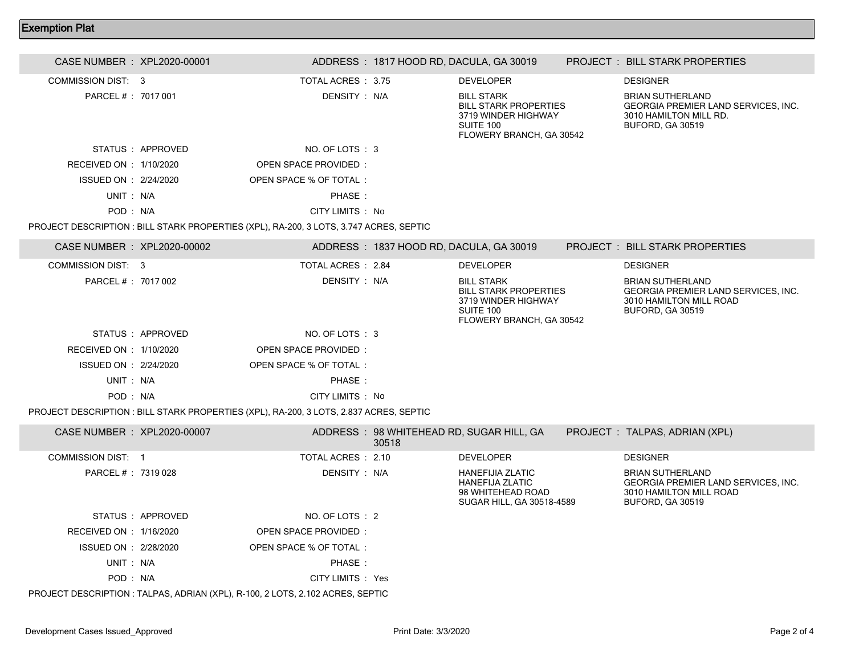## Exemption Plat

| CASE NUMBER : XPL2020-00001 |                   |                                                                                        |       | ADDRESS: 1817 HOOD RD, DACULA, GA 30019                                                                           | <b>PROJECT: BILL STARK PROPERTIES</b>                                                                                |
|-----------------------------|-------------------|----------------------------------------------------------------------------------------|-------|-------------------------------------------------------------------------------------------------------------------|----------------------------------------------------------------------------------------------------------------------|
| COMMISSION DIST: 3          |                   | TOTAL ACRES: 3.75                                                                      |       | <b>DEVELOPER</b>                                                                                                  | <b>DESIGNER</b>                                                                                                      |
| PARCEL #: 7017 001          |                   | DENSITY : N/A                                                                          |       | <b>BILL STARK</b><br><b>BILL STARK PROPERTIES</b><br>3719 WINDER HIGHWAY<br>SUITE 100<br>FLOWERY BRANCH, GA 30542 | <b>BRIAN SUTHERLAND</b><br>GEORGIA PREMIER LAND SERVICES, INC.<br>3010 HAMILTON MILL RD.<br>BUFORD, GA 30519         |
|                             | STATUS : APPROVED | NO. OF LOTS: 3                                                                         |       |                                                                                                                   |                                                                                                                      |
| RECEIVED ON : 1/10/2020     |                   | <b>OPEN SPACE PROVIDED:</b>                                                            |       |                                                                                                                   |                                                                                                                      |
| ISSUED ON : 2/24/2020       |                   | OPEN SPACE % OF TOTAL:                                                                 |       |                                                                                                                   |                                                                                                                      |
| UNIT: N/A                   |                   | PHASE:                                                                                 |       |                                                                                                                   |                                                                                                                      |
| POD: N/A                    |                   | CITY LIMITS : No                                                                       |       |                                                                                                                   |                                                                                                                      |
|                             |                   | PROJECT DESCRIPTION : BILL STARK PROPERTIES (XPL), RA-200, 3 LOTS, 3.747 ACRES, SEPTIC |       |                                                                                                                   |                                                                                                                      |
| CASE NUMBER : XPL2020-00002 |                   |                                                                                        |       | ADDRESS: 1837 HOOD RD, DACULA, GA 30019                                                                           | <b>PROJECT: BILL STARK PROPERTIES</b>                                                                                |
| <b>COMMISSION DIST: 3</b>   |                   | TOTAL ACRES : 2.84                                                                     |       | <b>DEVELOPER</b>                                                                                                  | <b>DESIGNER</b>                                                                                                      |
| PARCEL # : 7017 002         |                   | DENSITY: N/A                                                                           |       | <b>BILL STARK</b><br><b>BILL STARK PROPERTIES</b><br>3719 WINDER HIGHWAY<br>SUITE 100<br>FLOWERY BRANCH, GA 30542 | <b>BRIAN SUTHERLAND</b><br>GEORGIA PREMIER LAND SERVICES, INC.<br>3010 HAMILTON MILL ROAD<br><b>BUFORD, GA 30519</b> |
|                             | STATUS : APPROVED | NO. OF LOTS: 3                                                                         |       |                                                                                                                   |                                                                                                                      |
| RECEIVED ON : 1/10/2020     |                   | OPEN SPACE PROVIDED:                                                                   |       |                                                                                                                   |                                                                                                                      |
| ISSUED ON : 2/24/2020       |                   | OPEN SPACE % OF TOTAL:                                                                 |       |                                                                                                                   |                                                                                                                      |
| UNIT: N/A                   |                   | PHASE:                                                                                 |       |                                                                                                                   |                                                                                                                      |
| POD: N/A                    |                   | CITY LIMITS : No                                                                       |       |                                                                                                                   |                                                                                                                      |
|                             |                   | PROJECT DESCRIPTION : BILL STARK PROPERTIES (XPL), RA-200, 3 LOTS, 2.837 ACRES, SEPTIC |       |                                                                                                                   |                                                                                                                      |
| CASE NUMBER : XPL2020-00007 |                   |                                                                                        | 30518 | ADDRESS: 98 WHITEHEAD RD, SUGAR HILL, GA                                                                          | PROJECT : TALPAS, ADRIAN (XPL)                                                                                       |
| <b>COMMISSION DIST: 1</b>   |                   | TOTAL ACRES : 2.10                                                                     |       | <b>DEVELOPER</b>                                                                                                  | <b>DESIGNER</b>                                                                                                      |
| PARCEL # : 7319 028         |                   | DENSITY: N/A                                                                           |       | <b>HANEFIJIA ZLATIC</b><br><b>HANEFIJA ZLATIC</b><br>98 WHITEHEAD ROAD<br>SUGAR HILL, GA 30518-4589               | <b>BRIAN SUTHERLAND</b><br>GEORGIA PREMIER LAND SERVICES, INC.<br>3010 HAMILTON MILL ROAD<br>BUFORD, GA 30519        |
|                             | STATUS: APPROVED  | NO. OF LOTS : 2                                                                        |       |                                                                                                                   |                                                                                                                      |
| RECEIVED ON : 1/16/2020     |                   | OPEN SPACE PROVIDED:                                                                   |       |                                                                                                                   |                                                                                                                      |
| ISSUED ON : 2/28/2020       |                   | OPEN SPACE % OF TOTAL :                                                                |       |                                                                                                                   |                                                                                                                      |
| UNIT: N/A                   |                   | PHASE:                                                                                 |       |                                                                                                                   |                                                                                                                      |
| POD: N/A                    |                   | CITY LIMITS : Yes                                                                      |       |                                                                                                                   |                                                                                                                      |

PROJECT DESCRIPTION : TALPAS, ADRIAN (XPL), R-100, 2 LOTS, 2.102 ACRES, SEPTIC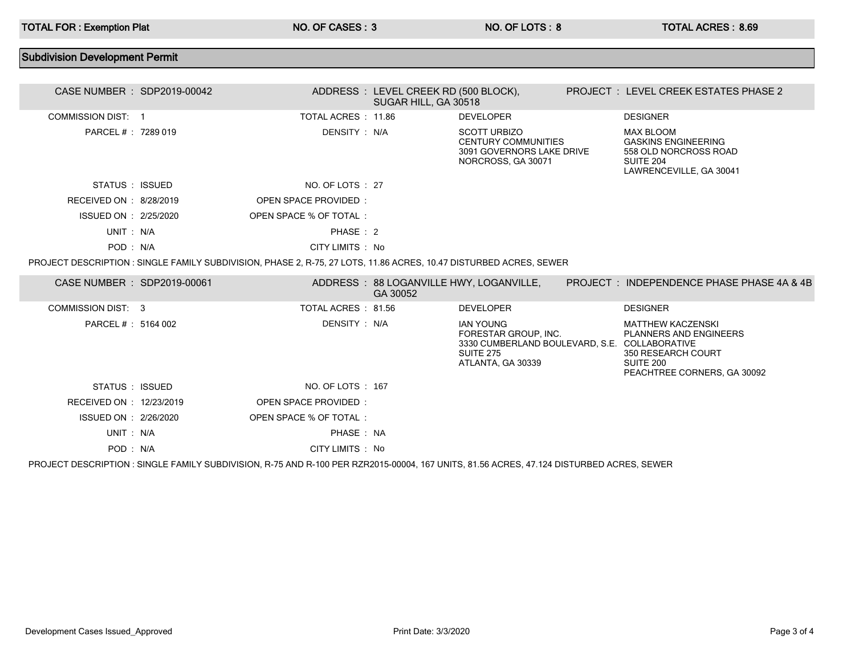## Subdivision Development Permit CASE NUMBER : SDP2019-00042 ADDRESS : LEVEL CREEK RD (500 BLOCK), SUGAR HILL, GA 30518 PROJECT : LEVEL CREEK ESTATES PHASE 2 COMMISSION DIST: 1 TOTAL ACRES : 11.86 DEVELOPER DESIGNER PARCEL # : 7289 019 DENSITY : N/A SCOTT URBIZO CENTURY COMMUNITIES 3091 GOVERNORS LAKE DRIVE NORCROSS, GA 30071 MAX BLOOM GASKINS ENGINEERING 558 OLD NORCROSS ROAD SUITE 204 LAWRENCEVILLE, GA 30041 STATUS : ISSUED NO. OF LOTS : 27 RECEIVED ON : 8/28/2019 OPEN SPACE PROVIDED : ISSUED ON : 2/25/2020 OPEN SPACE % OF TOTAL : UNIT : N/A PHASE : 2 POD : N/A CITY LIMITS : No PROJECT DESCRIPTION : SINGLE FAMILY SUBDIVISION, PHASE 2, R-75, 27 LOTS, 11.86 ACRES, 10.47 DISTURBED ACRES, SEWER CASE NUMBER : SDP2019-00061 ADDRESS : 88 LOGANVILLE HWY, LOGANVILLE, GA 30052 PROJECT : INDEPENDENCE PHASE PHASE 4A & 4B COMMISSION DIST: 3 TOTAL ACRES : 81.56 DEVELOPER DESIGNER PARCEL # : 5164 002 DENSITY : N/A IAN YOUNG FORESTAR GROUP, INC. 3330 CUMBERLAND BOULEVARD, S.E. COLLABORATIVE SUITE 275 ATLANTA, GA 30339 MATTHEW KACZENSKI PLANNERS AND ENGINEERS 350 RESEARCH COURT SUITE 200 PEACHTREE CORNERS, GA 30092 STATUS : ISSUED NO. OF LOTS : 167 RECEIVED ON : 12/23/2019 OPEN SPACE PROVIDED : ISSUED ON : 2/26/2020 OPEN SPACE % OF TOTAL : UNIT : N/A PHASE : NA POD : N/A CITY LIMITS : No

PROJECT DESCRIPTION : SINGLE FAMILY SUBDIVISION, R-75 AND R-100 PER RZR2015-00004, 167 UNITS, 81.56 ACRES, 47.124 DISTURBED ACRES, SEWER